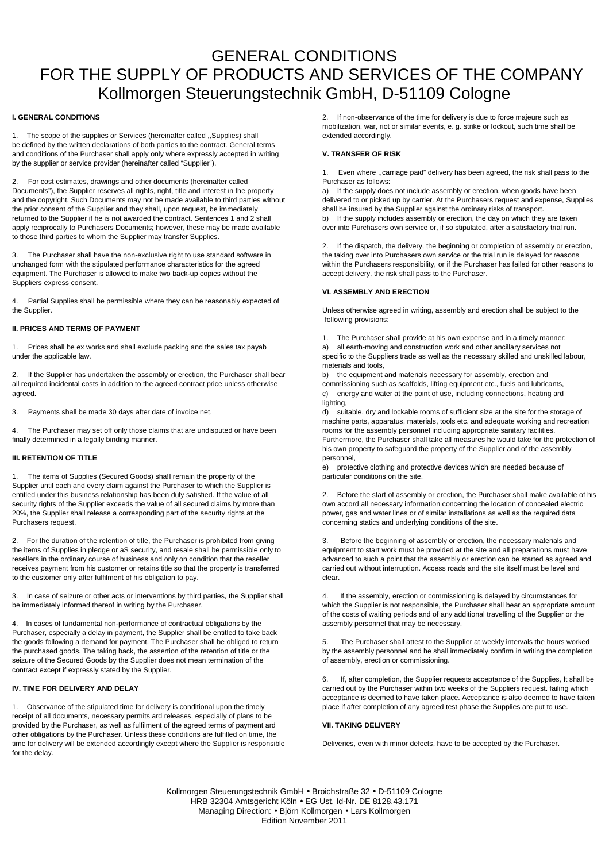# GENERAL CONDITIONS FOR THE SUPPLY OF PRODUCTS AND SERVICES OF THE COMPANY Kollmorgen Steuerungstechnik GmbH, D-51109 Cologne

## **I. GENERAL CONDITIONS**

1. The scope of the supplies or Services (hereinafter called ,,Supplies) shall be defined by the written declarations of both parties to the contract. General terms and conditions of the Purchaser shall apply only where expressly accepted in writing by the supplier or service provider (hereinafter called "Supplier").

2. For cost estimates, drawings and other documents (hereinafter called Documents"), the Supplier reserves all rights, right, title and interest in the property and the copyright. Such Documents may not be made available to third parties without the prior consent of the Supplier and they shall, upon request, be immediately returned to the Supplier if he is not awarded the contract. Sentences 1 and 2 shall apply reciprocally to Purchasers Documents; however, these may be made available to those third parties to whom the Supplier may transfer Supplies.

3. The Purchaser shall have the non-exclusive right to use standard software in unchanged form with the stipulated performance characteristics for the agreed equipment. The Purchaser is allowed to make two back-up copies without the Suppliers express consent.

Partial Supplies shall be permissible where they can be reasonably expected of the Supplier.

# **II. PRICES AND TERMS OF PAYMENT**

Prices shall be ex works and shall exclude packing and the sales tax payab under the applicable law.

2. If the Supplier has undertaken the assembly or erection, the Purchaser shall bear all required incidental costs in addition to the agreed contract price unless otherwise agreed.

3. Payments shall be made 30 days after date of invoice net.

The Purchaser may set off only those claims that are undisputed or have been finally determined in a legally binding manner.

# **III. RETENTION OF TITLE**

1. The items of Supplies (Secured Goods) sha!I remain the property of the Supplier until each and every claim against the Purchaser to which the Supplier is entitled under this business relationship has been duly satisfied. If the value of all security rights of the Supplier exceeds the value of all secured claims by more than 20%, the Supplier shall release a corresponding part of the security rights at the Purchasers request.

2. For the duration of the retention of title, the Purchaser is prohibited from giving the items of Supplies in pledge or aS security, and resale shall be permissible only to resellers in the ordinary course of business and only on condition that the reseller receives payment from his customer or retains title so that the property is transferred to the customer only after fulfilment of his obligation to pay.

3. In case of seizure or other acts or interventions by third parties, the Supplier shall be immediately informed thereof in writing by the Purchaser.

4. In cases of fundamental non-performance of contractual obligations by the Purchaser, especially a delay in payment, the Supplier shall be entitled to take back the goods following a demand for payment. The Purchaser shall be obliged to return the purchased goods. The taking back, the assertion of the retention of title or the seizure of the Secured Goods by the Supplier does not mean termination of the contract except if expressly stated by the Supplier.

## **IV. TIME FOR DELIVERY AND DELAY**

Observance of the stipulated time for delivery is conditional upon the timely receipt of all documents, necessary permits ard releases, especially of plans to be provided by the Purchaser, as well as fulfilment of the agreed terms of payment ard other obligations by the Purchaser. Unless these conditions are fulfilled on time, the time for delivery will be extended accordingly except where the Supplier is responsible for the delay.

2. If non-observance of the time for delivery is due to force majeure such as mobilization, war, riot or similar events, e. g. strike or lockout, such time shall be extended accordingly.

# **V. TRANSFER OF RISK**

1. Even where ,,carriage paid" delivery has been agreed, the risk shall pass to the Purchaser as follows:

a) If the supply does not include assembly or erection, when goods have been delivered to or picked up by carrier. At the Purchasers request and expense, Supplies shall be insured by the Supplier against the ordinary risks of transport. b) If the supply includes assembly or erection, the day on which they are taken over into Purchasers own service or, if so stipulated, after a satisfactory trial run.

2. If the dispatch, the delivery, the beginning or completion of assembly or erection, the taking over into Purchasers own service or the trial run is delayed for reasons within the Purchasers responsibility, or if the Purchaser has failed for other reasons to accept delivery, the risk shall pass to the Purchaser.

### **VI. ASSEMBLY AND ERECTION**

Unless otherwise agreed in writing, assembly and erection shall be subject to the following provisions:

1. The Purchaser shall provide at his own expense and in a timely manner: a) all earth-moving and construction work and other ancillary services not specific to the Suppliers trade as well as the necessary skilled and unskilled labour, materials and tools,

b) the equipment and materials necessary for assembly, erection and commissioning such as scaffolds, lifting equipment etc., fuels and lubricants, c) energy and water at the point of use, including connections, heating ard lighting.

d) suitable, dry and lockable rooms of sufficient size at the site for the storage of machine parts, apparatus, materials, tools etc. and adequate working and recreation rooms for the assembly personnel including appropriate sanitary facilities. Furthermore, the Purchaser shall take all measures he would take for the protection of his own property to safeguard the property of the Supplier and of the assembly personnel,

e) protective clothing and protective devices which are needed because of particular conditions on the site.

2. Before the start of assembly or erection, the Purchaser shall make available of his own accord all necessary information concerning the location of concealed electric power, gas and water lines or of similar installations as well as the required data concerning statics and underlying conditions of the site.

3. Before the beginning of assembly or erection, the necessary materials and equipment to start work must be provided at the site and all preparations must have advanced to such a point that the assembly or erection can be started as agreed and carried out without interruption. Access roads and the site itself must be level and clear.

4. If the assembly, erection or commissioning is delayed by circumstances for which the Supplier is not responsible, the Purchaser shall bear an appropriate amount of the costs of waiting periods and of any additional travelling of the Supplier or the assembly personnel that may be necessary.

5. The Purchaser shall attest to the Supplier at weekly intervals the hours worked by the assembly personnel and he shall immediately confirm in writing the completion of assembly, erection or commissioning.

6. If, after completion, the Supplier requests acceptance of the Supplies, It shall be carried out by the Purchaser within two weeks of the Suppliers request. failing which acceptance is deemed to have taken place. Acceptance is also deemed to have taken place if after completion of any agreed test phase the Supplies are put to use.

# **VII. TAKING DELIVERY**

Deliveries, even with minor defects, have to be accepted by the Purchaser.

Kollmorgen Steuerungstechnik GmbH • Broichstraße 32 • D-51109 Cologne HRB 32304 Amtsgericht Köln • EG Ust. Id-Nr. DE 8128.43.171 Managing Direction: • Björn Kollmorgen • Lars Kollmorgen Edition November 2011